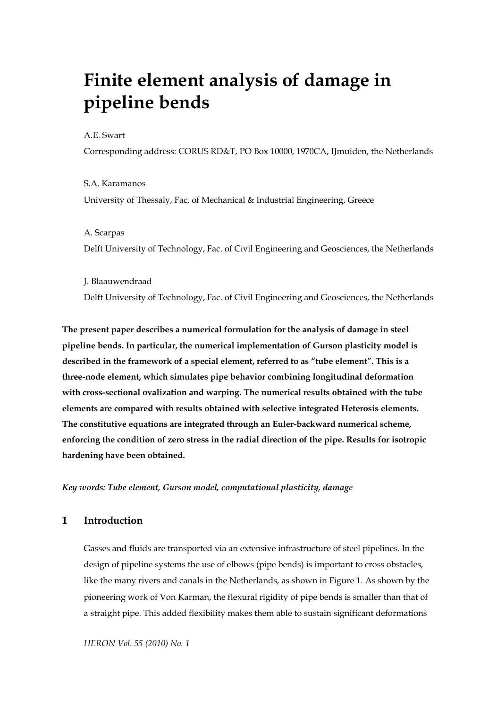# **Finite element analysis of damage in pipeline bends**

#### A.E. Swart

Corresponding address: CORUS RD&T, PO Box 10000, 1970CA, IJmuiden, the Netherlands

S.A. Karamanos University of Thessaly, Fac. of Mechanical & Industrial Engineering, Greece

#### A. Scarpas

Delft University of Technology, Fac. of Civil Engineering and Geosciences, the Netherlands

J. Blaauwendraad Delft University of Technology, Fac. of Civil Engineering and Geosciences, the Netherlands

**The present paper describes a numerical formulation for the analysis of damage in steel pipeline bends. In particular, the numerical implementation of Gurson plasticity model is described in the framework of a special element, referred to as "tube element". This is a three-node element, which simulates pipe behavior combining longitudinal deformation with cross-sectional ovalization and warping. The numerical results obtained with the tube elements are compared with results obtained with selective integrated Heterosis elements. The constitutive equations are integrated through an Euler-backward numerical scheme, enforcing the condition of zero stress in the radial direction of the pipe. Results for isotropic hardening have been obtained.** 

*Key words: Tube element, Gurson model, computational plasticity, damage* 

## **1 Introduction**

Gasses and fluids are transported via an extensive infrastructure of steel pipelines. In the design of pipeline systems the use of elbows (pipe bends) is important to cross obstacles, like the many rivers and canals in the Netherlands, as shown in Figure 1. As shown by the pioneering work of Von Karman, the flexural rigidity of pipe bends is smaller than that of a straight pipe. This added flexibility makes them able to sustain significant deformations

*HERON Vol. 55 (2010) No. 1*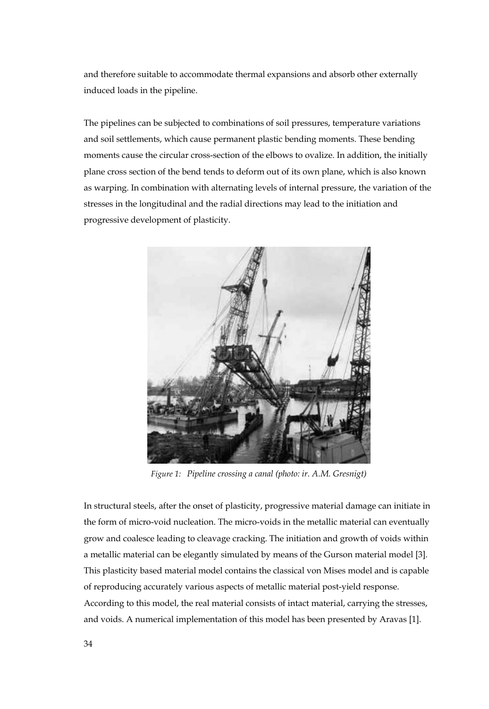and therefore suitable to accommodate thermal expansions and absorb other externally induced loads in the pipeline.

The pipelines can be subjected to combinations of soil pressures, temperature variations and soil settlements, which cause permanent plastic bending moments. These bending moments cause the circular cross-section of the elbows to ovalize. In addition, the initially plane cross section of the bend tends to deform out of its own plane, which is also known as warping. In combination with alternating levels of internal pressure, the variation of the stresses in the longitudinal and the radial directions may lead to the initiation and progressive development of plasticity.



*Figure 1: Pipeline crossing a canal (photo: ir. A.M. Gresnigt)* 

In structural steels, after the onset of plasticity, progressive material damage can initiate in the form of micro-void nucleation. The micro-voids in the metallic material can eventually grow and coalesce leading to cleavage cracking. The initiation and growth of voids within a metallic material can be elegantly simulated by means of the Gurson material model [3]. This plasticity based material model contains the classical von Mises model and is capable of reproducing accurately various aspects of metallic material post-yield response.

According to this model, the real material consists of intact material, carrying the stresses, and voids. A numerical implementation of this model has been presented by Aravas [1].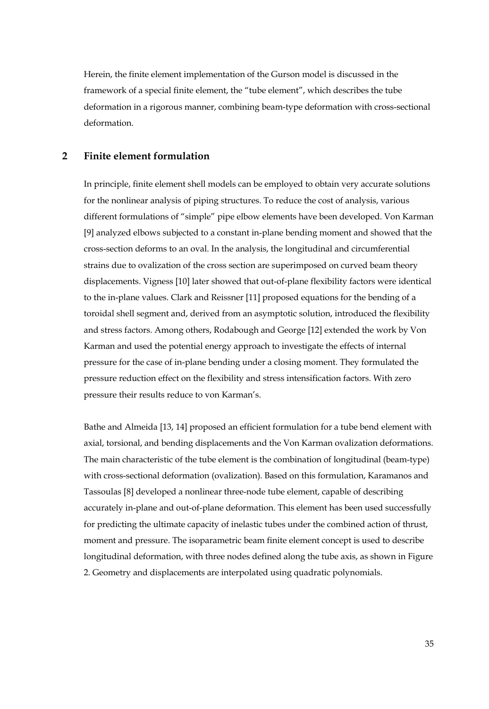Herein, the finite element implementation of the Gurson model is discussed in the framework of a special finite element, the "tube element", which describes the tube deformation in a rigorous manner, combining beam-type deformation with cross-sectional deformation.

## **2 Finite element formulation**

In principle, finite element shell models can be employed to obtain very accurate solutions for the nonlinear analysis of piping structures. To reduce the cost of analysis, various different formulations of "simple" pipe elbow elements have been developed. Von Karman [9] analyzed elbows subjected to a constant in-plane bending moment and showed that the cross-section deforms to an oval. In the analysis, the longitudinal and circumferential strains due to ovalization of the cross section are superimposed on curved beam theory displacements. Vigness [10] later showed that out-of-plane flexibility factors were identical to the in-plane values. Clark and Reissner [11] proposed equations for the bending of a toroidal shell segment and, derived from an asymptotic solution, introduced the flexibility and stress factors. Among others, Rodabough and George [12] extended the work by Von Karman and used the potential energy approach to investigate the effects of internal pressure for the case of in-plane bending under a closing moment. They formulated the pressure reduction effect on the flexibility and stress intensification factors. With zero pressure their results reduce to von Karman's.

Bathe and Almeida [13, 14] proposed an efficient formulation for a tube bend element with axial, torsional, and bending displacements and the Von Karman ovalization deformations. The main characteristic of the tube element is the combination of longitudinal (beam-type) with cross-sectional deformation (ovalization). Based on this formulation, Karamanos and Tassoulas [8] developed a nonlinear three-node tube element, capable of describing accurately in-plane and out-of-plane deformation. This element has been used successfully for predicting the ultimate capacity of inelastic tubes under the combined action of thrust, moment and pressure. The isoparametric beam finite element concept is used to describe longitudinal deformation, with three nodes defined along the tube axis, as shown in Figure 2. Geometry and displacements are interpolated using quadratic polynomials.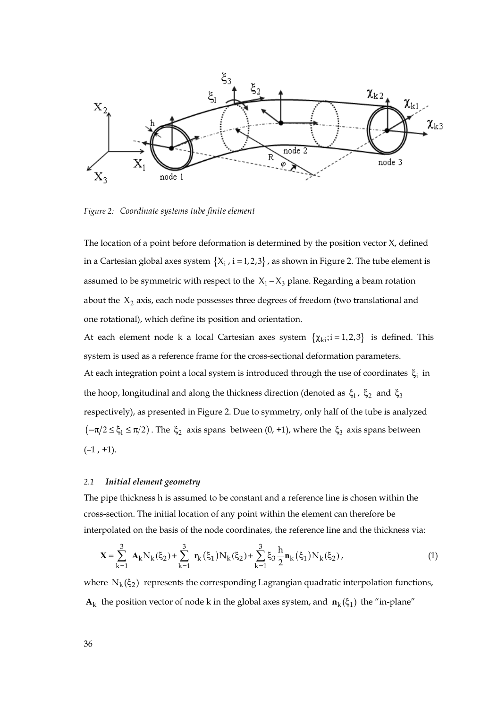

*Figure 2: Coordinate systems tube finite element* 

The location of a point before deformation is determined by the position vector X, defined in a Cartesian global axes system  $\{X_i, i = 1, 2, 3\}$ , as shown in Figure 2. The tube element is assumed to be symmetric with respect to the  $X_1 - X_3$  plane. Regarding a beam rotation about the  $X_2$  axis, each node possesses three degrees of freedom (two translational and one rotational), which define its position and orientation.

At each element node k a local Cartesian axes system  $\{\chi_{ki}$ ;i = 1,2,3} is defined. This system is used as a reference frame for the cross-sectional deformation parameters. At each integration point a local system is introduced through the use of coordinates  $\xi_i$  in the hoop, longitudinal and along the thickness direction (denoted as  $\xi_1$ ,  $\xi_2$  and  $\xi_3$ respectively), as presented in Figure 2. Due to symmetry, only half of the tube is analyzed  $(-\pi/2 \le \xi_1 \le \pi/2)$ . The  $\xi_2$  axis spans between  $(0, +1)$ , where the  $\xi_3$  axis spans between  $(-1, +1)$ .

#### *2.1 Initial element geometry*

The pipe thickness h is assumed to be constant and a reference line is chosen within the cross-section. The initial location of any point within the element can therefore be interpolated on the basis of the node coordinates, the reference line and the thickness via:

$$
\mathbf{X} = \sum_{k=1}^{3} \mathbf{A}_{k} N_{k}(\xi_{2}) + \sum_{k=1}^{3} \mathbf{r}_{k}(\xi_{1}) N_{k}(\xi_{2}) + \sum_{k=1}^{3} \xi_{3} \frac{h}{2} \mathbf{n}_{k}(\xi_{1}) N_{k}(\xi_{2}), \qquad (1)
$$

where  $N_k(\xi_2)$  represents the corresponding Lagrangian quadratic interpolation functions, **A**<sub>k</sub> the position vector of node k in the global axes system, and  $\mathbf{n}_k(\xi_1)$  the "in-plane"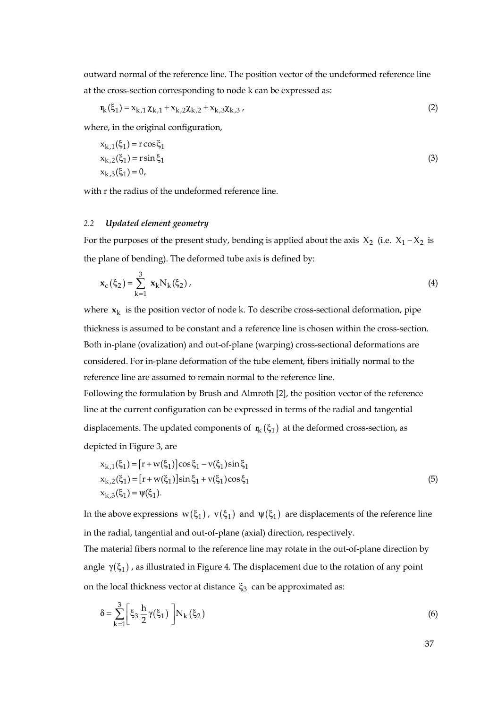outward normal of the reference line. The position vector of the undeformed reference line at the cross-section corresponding to node k can be expressed as:

$$
\mathbf{n}_{k}(\xi_{1}) = x_{k,1} \chi_{k,1} + x_{k,2} \chi_{k,2} + x_{k,3} \chi_{k,3}, \qquad (2)
$$

where, in the original configuration,

$$
x_{k,1}(\xi_1) = r \cos \xi_1
$$
  
\n
$$
x_{k,2}(\xi_1) = r \sin \xi_1
$$
  
\n
$$
x_{k,3}(\xi_1) = 0,
$$
\n(3)

with r the radius of the undeformed reference line.

#### *2.2 Updated element geometry*

For the purposes of the present study, bending is applied about the axis  $X_2$  (i.e.  $X_1 - X_2$  is the plane of bending). The deformed tube axis is defined by:

$$
\mathbf{x}_{c}(\xi_{2}) = \sum_{k=1}^{3} \mathbf{x}_{k} N_{k}(\xi_{2}), \qquad (4)
$$

where  $x_k$  is the position vector of node k. To describe cross-sectional deformation, pipe thickness is assumed to be constant and a reference line is chosen within the cross-section. Both in-plane (ovalization) and out-of-plane (warping) cross-sectional deformations are considered. For in-plane deformation of the tube element, fibers initially normal to the reference line are assumed to remain normal to the reference line.

Following the formulation by Brush and Almroth [2], the position vector of the reference line at the current configuration can be expressed in terms of the radial and tangential displacements. The updated components of  $\mathbf{r}_{k}(\xi_{1})$  at the deformed cross-section, as depicted in Figure 3, are

$$
x_{k,1}(\xi_1) = [r + w(\xi_1)]\cos \xi_1 - v(\xi_1)\sin \xi_1 x_{k,2}(\xi_1) = [r + w(\xi_1)]\sin \xi_1 + v(\xi_1)\cos \xi_1 x_{k,3}(\xi_1) = \psi(\xi_1).
$$
\n(5)

In the above expressions  $w(\xi_1)$ ,  $v(\xi_1)$  and  $\psi(\xi_1)$  are displacements of the reference line in the radial, tangential and out-of-plane (axial) direction, respectively.

The material fibers normal to the reference line may rotate in the out-of-plane direction by angle  $\gamma(\xi_1)$ , as illustrated in Figure 4. The displacement due to the rotation of any point on the local thickness vector at distance  $\xi_3$  can be approximated as:

$$
\delta = \sum_{k=1}^{3} \left[ \xi_3 \frac{h}{2} \gamma(\xi_1) \right] N_k(\xi_2)
$$
\n
$$
(6)
$$

37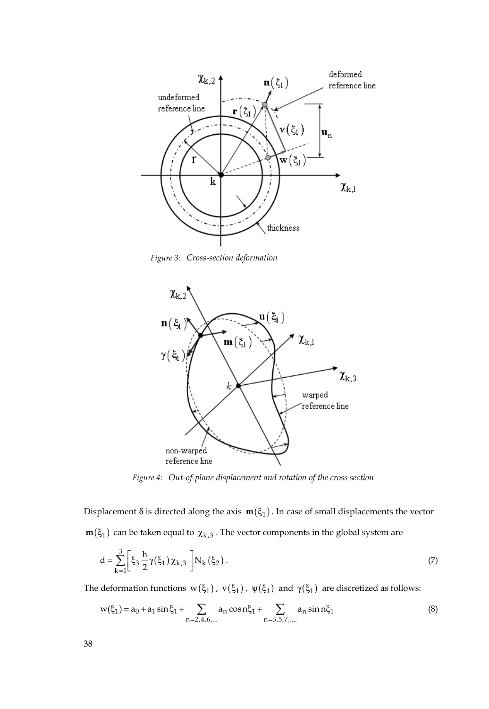

*Figure 3: Cross-section deformation* 



*Figure 4: Out-of-plane displacement and rotation of the cross section* 

Displacement  $\delta$  is directed along the axis  $m(\xi_1)$ . In case of small displacements the vector  $m(\xi_1)$  can be taken equal to  $\chi_{k,3}$ . The vector components in the global system are

$$
d = \sum_{k=1}^{3} \left[ \xi_3 \frac{h}{2} \gamma(\xi_1) \chi_{k,3} \right] N_k(\xi_2).
$$
 (7)

The deformation functions  $\,w(\xi_1)$  ,  $\,v(\xi_1)$  ,  $\,\psi(\xi_1) \,$  and  $\,\gamma(\xi_1) \,$  are discretized as follows:

$$
w(\xi_1) = a_0 + a_1 \sin \xi_1 + \sum_{n=2,4,6,\dots} a_n \cos n \xi_1 + \sum_{n=3,5,7,\dots} a_n \sin n \xi_1
$$
 (8)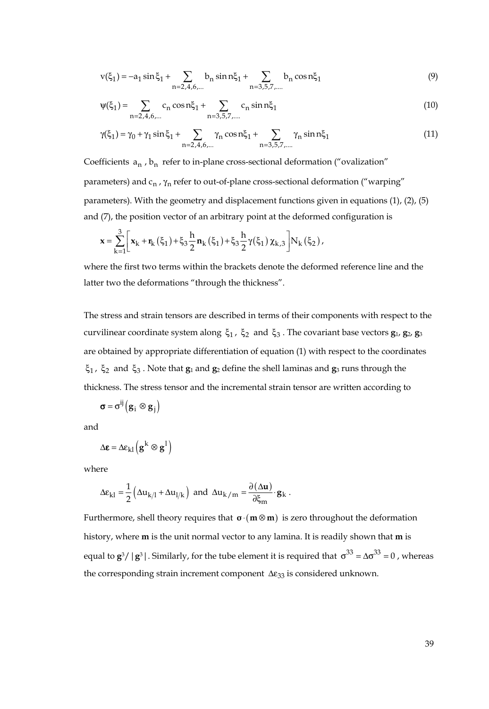$$
v(\xi_1) = -a_1 \sin \xi_1 + \sum_{n=2,4,6,...} b_n \sin n\xi_1 + \sum_{n=3,5,7,...} b_n \cos n\xi_1 \tag{9}
$$

$$
\psi(\xi_1) = \sum_{n=2,4,6,...} c_n \cos n\xi_1 + \sum_{n=3,5,7,...} c_n \sin n\xi_1
$$
 (10)

$$
\gamma(\xi_1) = \gamma_0 + \gamma_1 \sin \xi_1 + \sum_{n=2,4,6,...} \gamma_n \cos n \xi_1 + \sum_{n=3,5,7,...} \gamma_n \sin n \xi_1
$$
\n(11)

Coefficients  $a_n$ ,  $b_n$  refer to in-plane cross-sectional deformation ("ovalization" parameters) and  $c_n$ ,  $\gamma_n$  refer to out-of-plane cross-sectional deformation ("warping" parameters). With the geometry and displacement functions given in equations (1), (2), (5) and (7), the position vector of an arbitrary point at the deformed configuration is

$$
\mathbf{x} = \sum_{k=1}^{3} \left[ \mathbf{x}_{k} + \mathbf{r}_{k}(\xi_{1}) + \xi_{3} \frac{h}{2} \mathbf{n}_{k}(\xi_{1}) + \xi_{3} \frac{h}{2} \gamma(\xi_{1}) \chi_{k,3} \right] N_{k}(\xi_{2}),
$$

where the first two terms within the brackets denote the deformed reference line and the latter two the deformations "through the thickness".

The stress and strain tensors are described in terms of their components with respect to the curvilinear coordinate system along  $\xi_1$ ,  $\xi_2$  and  $\xi_3$ . The covariant base vectors **g**<sub>1</sub>, **g**<sub>2</sub>, **g**<sub>3</sub> are obtained by appropriate differentiation of equation (1) with respect to the coordinates ξ<sup>1</sup> , ξ2 and ξ<sup>3</sup> . Note that **g**1 and **g**2 define the shell laminas and **g**3 runs through the thickness. The stress tensor and the incremental strain tensor are written according to

$$
\boldsymbol{\sigma} = \sigma^{ij} (\mathbf{g}_i \otimes \mathbf{g}_j)
$$

and

$$
\Delta \pmb{\epsilon} = \Delta \pmb{\epsilon}_{kl} \left( \pmb{g}^k \otimes \pmb{g}^l \right)
$$

where

$$
\Delta \epsilon_{kl} = \frac{1}{2} \left( \Delta u_{k/l} + \Delta u_{l/k} \right) \text{ and } \Delta u_{k/m} = \frac{\partial (\Delta u)}{\partial \xi_m} \cdot g_k .
$$

Furthermore, shell theory requires that  $\sigma \cdot (\mathbf{m} \otimes \mathbf{m})$  is zero throughout the deformation history, where **m** is the unit normal vector to any lamina. It is readily shown that **m** is equal to  $\mathbf{g}^3/|\mathbf{g}^3|$ . Similarly, for the tube element it is required that  $\sigma^{33} = \Delta \sigma^{33} = 0$ , whereas the corresponding strain increment component  $\Delta \varepsilon_{33}$  is considered unknown.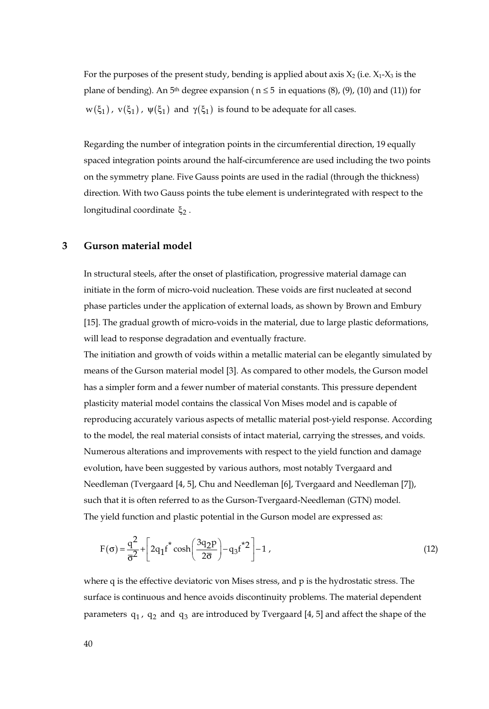For the purposes of the present study, bending is applied about axis  $X_2$  (i.e.  $X_1$ - $X_3$  is the plane of bending). An 5<sup>th</sup> degree expansion ( $n \leq 5$  in equations (8), (9), (10) and (11)) for  $w(\xi_1)$ ,  $v(\xi_1)$ ,  $\psi(\xi_1)$  and  $\gamma(\xi_1)$  is found to be adequate for all cases.

Regarding the number of integration points in the circumferential direction, 19 equally spaced integration points around the half-circumference are used including the two points on the symmetry plane. Five Gauss points are used in the radial (through the thickness) direction. With two Gauss points the tube element is underintegrated with respect to the longitudinal coordinate  $ξ<sub>2</sub>$ .

## **3 Gurson material model**

In structural steels, after the onset of plastification, progressive material damage can initiate in the form of micro-void nucleation. These voids are first nucleated at second phase particles under the application of external loads, as shown by Brown and Embury [15]. The gradual growth of micro-voids in the material, due to large plastic deformations, will lead to response degradation and eventually fracture.

The initiation and growth of voids within a metallic material can be elegantly simulated by means of the Gurson material model [3]. As compared to other models, the Gurson model has a simpler form and a fewer number of material constants. This pressure dependent plasticity material model contains the classical Von Mises model and is capable of reproducing accurately various aspects of metallic material post-yield response. According to the model, the real material consists of intact material, carrying the stresses, and voids. Numerous alterations and improvements with respect to the yield function and damage evolution, have been suggested by various authors, most notably Tvergaard and Needleman (Tvergaard [4, 5], Chu and Needleman [6], Tvergaard and Needleman [7]), such that it is often referred to as the Gurson-Tvergaard-Needleman (GTN) model. The yield function and plastic potential in the Gurson model are expressed as:

$$
F(\sigma) = \frac{q^2}{\sigma^2} + \left[2q_1f^* \cosh\left(\frac{3q_2p}{2\sigma}\right) - q_3f^{*2}\right] - 1,
$$
\n(12)

where q is the effective deviatoric von Mises stress, and p is the hydrostatic stress. The surface is continuous and hence avoids discontinuity problems. The material dependent parameters  $q_1$ ,  $q_2$  and  $q_3$  are introduced by Tvergaard [4, 5] and affect the shape of the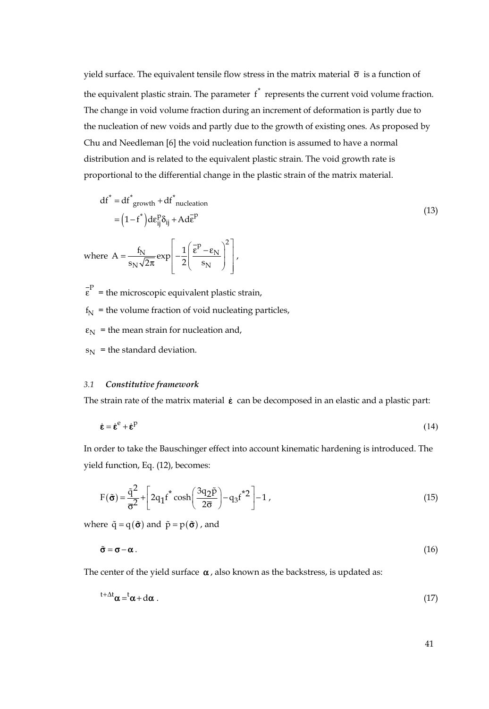yield surface. The equivalent tensile flow stress in the matrix material  $\bar{\sigma}$  is a function of the equivalent plastic strain. The parameter  $f^*$  represents the current void volume fraction. The change in void volume fraction during an increment of deformation is partly due to the nucleation of new voids and partly due to the growth of existing ones. As proposed by Chu and Needleman [6] the void nucleation function is assumed to have a normal distribution and is related to the equivalent plastic strain. The void growth rate is proportional to the differential change in the plastic strain of the matrix material.

$$
df^* = df^*_{growth} + df^*_{nucleation}
$$
  
=  $(1 - f^*)d\varepsilon_{ij}^P \delta_{ij} + Ad\varepsilon^P$  (13)

where 
$$
A = \frac{f_N}{s_N \sqrt{2\pi}} \exp\left[-\frac{1}{2} \left(\frac{\bar{\epsilon}^P - \epsilon_N}{s_N}\right)^2\right],
$$

 $\epsilon$ <sup>-P</sup> = the microscopic equivalent plastic strain,

 $f_N$  = the volume fraction of void nucleating particles,

 $\varepsilon_N$  = the mean strain for nucleation and,

 $s_N$  = the standard deviation.

#### *3.1 Constitutive framework*

The strain rate of the matrix material  $\dot{\epsilon}$  can be decomposed in an elastic and a plastic part:

$$
\dot{\mathbf{\varepsilon}} = \dot{\mathbf{\varepsilon}}^{\text{e}} + \dot{\mathbf{\varepsilon}}^{\text{p}} \tag{14}
$$

In order to take the Bauschinger effect into account kinematic hardening is introduced. The yield function, Eq. (12), becomes:

$$
F(\tilde{\boldsymbol{\sigma}}) = \frac{\tilde{q}^2}{\overline{\sigma}^2} + \left[2q_1f^* \cosh\left(\frac{3q_2\tilde{p}}{2\overline{\sigma}}\right) - q_3f^*2\right] - 1,
$$
\n(15)

where  $\tilde{q} = q(\tilde{\boldsymbol{\sigma}})$  and  $\tilde{p} = p(\tilde{\boldsymbol{\sigma}})$ , and

$$
\tilde{\sigma} = \sigma - \alpha. \tag{16}
$$

The center of the yield surface  $\alpha$ , also known as the backstress, is updated as:

$$
t + \Delta t \alpha = t \alpha + d\alpha \tag{17}
$$

41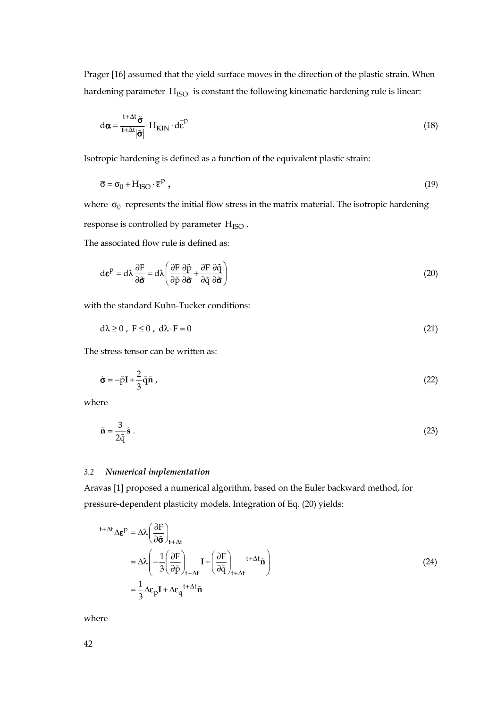Prager [16] assumed that the yield surface moves in the direction of the plastic strain. When hardening parameter  $H<sub>ISO</sub>$  is constant the following kinematic hardening rule is linear:

$$
d\alpha = \frac{t + \Delta t}{t + \Delta t} \tilde{\sigma} \cdot H_{\text{KIN}} \cdot d\bar{\epsilon}^{\text{P}}
$$
(18)

Isotropic hardening is defined as a function of the equivalent plastic strain:

$$
\overline{\sigma} = \sigma_0 + H_{ISO} \cdot \overline{\epsilon}^p , \qquad (19)
$$

where  $\sigma_0$  represents the initial flow stress in the matrix material. The isotropic hardening response is controlled by parameter  $H<sub>ISO</sub>$ .

The associated flow rule is defined as:

$$
d\boldsymbol{\varepsilon}^{P} = d\lambda \frac{\partial F}{\partial \boldsymbol{\tilde{\sigma}}} = d\lambda \left( \frac{\partial F}{\partial \tilde{p}} \frac{\partial \tilde{p}}{\partial \boldsymbol{\tilde{\sigma}}} + \frac{\partial F}{\partial \tilde{q}} \frac{\partial \tilde{q}}{\partial \boldsymbol{\tilde{\sigma}}} \right)
$$
(20)

with the standard Kuhn-Tucker conditions:

 $d\lambda \ge 0$ ,  $F \le 0$ ,  $d\lambda \cdot F = 0$  (21)

The stress tensor can be written as:

$$
\tilde{\sigma} = -\tilde{p}I + \frac{2}{3}\tilde{q}\tilde{n} \tag{22}
$$

where

$$
\tilde{\mathbf{n}} = \frac{3}{2\tilde{\mathbf{q}}}\tilde{\mathbf{s}}\ .
$$
 (23)

#### *3.2 Numerical implementation*

Aravas [1] proposed a numerical algorithm, based on the Euler backward method, for pressure-dependent plasticity models. Integration of Eq. (20) yields:

$$
t + \Delta t \Delta \mathbf{\varepsilon}^{p} = \Delta \lambda \left( \frac{\partial F}{\partial \mathbf{\tilde{\sigma}}} \right)_{t + \Delta t}
$$
  
=  $\Delta \lambda \left( -\frac{1}{3} \left( \frac{\partial F}{\partial \tilde{p}} \right)_{t + \Delta t} \mathbf{I} + \left( \frac{\partial F}{\partial \tilde{q}} \right)_{t + \Delta t} t + \Delta t \tilde{\mathbf{n}} \right)$  (24)  
=  $\frac{1}{3} \Delta \varepsilon_{p} \mathbf{I} + \Delta \varepsilon_{q} t + \Delta t \tilde{\mathbf{n}}$ 

where

42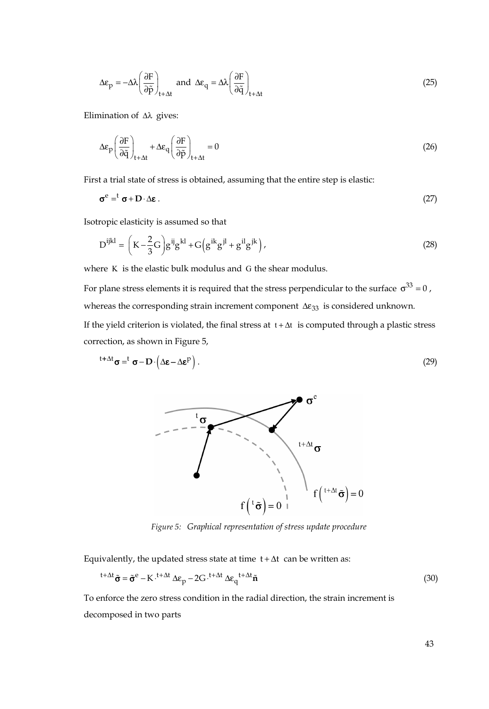$$
\Delta \varepsilon_{\rm p} = -\Delta \lambda \left( \frac{\partial F}{\partial \tilde{p}} \right)_{t + \Delta t} \text{ and } \Delta \varepsilon_{\rm q} = \Delta \lambda \left( \frac{\partial F}{\partial \tilde{q}} \right)_{t + \Delta t} \tag{25}
$$

Elimination of Δλ gives:

$$
\Delta \varepsilon_{\rm p} \left( \frac{\partial F}{\partial \tilde{q}} \right)_{t + \Delta t} + \Delta \varepsilon_{\rm q} \left( \frac{\partial F}{\partial \tilde{p}} \right)_{t + \Delta t} = 0 \tag{26}
$$

First a trial state of stress is obtained, assuming that the entire step is elastic:

$$
\sigma^{\rm e} = {}^{\rm t} \sigma + D \cdot \Delta \varepsilon \,. \tag{27}
$$

Isotropic elasticity is assumed so that

$$
D^{ijkl} = \left(K - \frac{2}{3}G\right)g^{ij}g^{kl} + G\left(g^{ik}g^{jl} + g^{il}g^{jk}\right),\tag{28}
$$

where K is the elastic bulk modulus and G the shear modulus.

For plane stress elements it is required that the stress perpendicular to the surface  $\sigma^{33} = 0$ , whereas the corresponding strain increment component  $\Delta \varepsilon_{33}$  is considered unknown.

If the yield criterion is violated, the final stress at  $t + \Delta t$  is computed through a plastic stress correction, as shown in Figure 5,

$$
t + \Delta t \sigma = t \sigma - D \left( \Delta \varepsilon - \Delta \varepsilon^P \right). \tag{29}
$$



*Figure 5: Graphical representation of stress update procedure* 

Equivalently, the updated stress state at time  $t + \Delta t$  can be written as:

$$
t + \Delta t \tilde{\sigma} = \tilde{\sigma}^e - K \cdot t + \Delta t \Delta \epsilon_p - 2G \cdot t + \Delta t \Delta \epsilon_q t + \Delta t \tilde{n}
$$
\n(30)

To enforce the zero stress condition in the radial direction, the strain increment is decomposed in two parts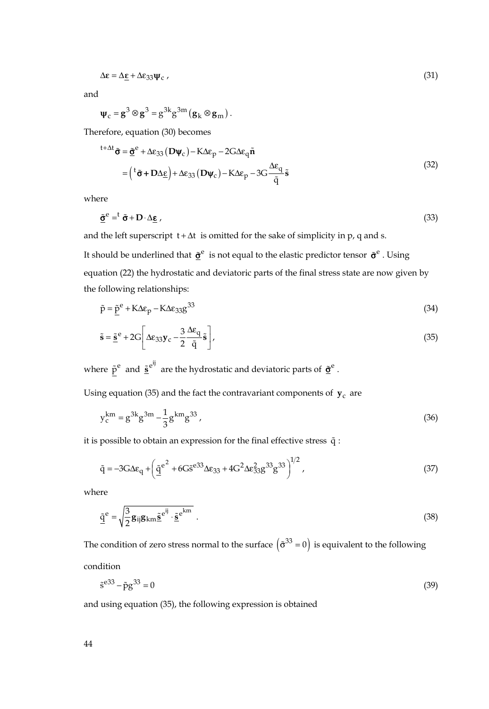$$
\Delta \varepsilon = \Delta \underline{\varepsilon} + \Delta \varepsilon_{33} \Psi_{\rm c} \tag{31}
$$

and

$$
\Psi_{\rm c} = g^3 \otimes g^3 = g^{3k} g^{3m} (g_k \otimes g_m).
$$

Therefore, equation (30) becomes

$$
t + \Delta t \tilde{\sigma} = \tilde{\underline{\sigma}}^e + \Delta \varepsilon_{33} (D\psi_c) - K\Delta \varepsilon_p - 2G\Delta \varepsilon_q \tilde{n}
$$
  
= 
$$
\left( {}^t \tilde{\sigma} + D\Delta \underline{\varepsilon} \right) + \Delta \varepsilon_{33} (D\psi_c) - K\Delta \varepsilon_p - 3G \frac{\Delta \varepsilon_q}{\tilde{q}} \tilde{s}
$$
 (32)

where

$$
\tilde{\mathbf{Q}}^{\mathbf{e}} = \mathbf{t} \; \tilde{\mathbf{\sigma}} + \mathbf{D} \cdot \Delta \mathbf{\underline{\epsilon}} \; , \tag{33}
$$

and the left superscript  $t + \Delta t$  is omitted for the sake of simplicity in p, q and s.

It should be underlined that  $\tilde{\sigma}^e$  is not equal to the elastic predictor tensor  $\tilde{\sigma}^e$ . Using equation (22) the hydrostatic and deviatoric parts of the final stress state are now given by the following relationships:

$$
\tilde{p} = \underline{\tilde{p}}^e + K\Delta\varepsilon_p - K\Delta\varepsilon_{33}g^{33}
$$
\n(34)

$$
\tilde{\mathbf{s}} = \tilde{\mathbf{s}}^{\text{e}} + 2G \left[ \Delta \varepsilon_{33} \mathbf{y}_{\text{c}} - \frac{3}{2} \frac{\Delta \varepsilon_{\text{q}}}{\tilde{\mathbf{q}}} \tilde{\mathbf{s}} \right],\tag{35}
$$

where  $\tilde{p}^e$  and  $\underline{\tilde{s}}^{e^{ij}}$  are the hydrostatic and deviatoric parts of  $\underline{\tilde{\sigma}}^e$ .

Using equation (35) and the fact the contravariant components of  $y_c$  are

$$
y_c^{km} = g^{3k}g^{3m} - \frac{1}{3}g^{km}g^{33},\tag{36}
$$

it is possible to obtain an expression for the final effective stress  $\tilde{q}$  :

$$
\tilde{q} = -3G\Delta\varepsilon_{q} + \left(\underline{\tilde{q}}^{e^{2}} + 6G\tilde{s}^{e^{33}}\Delta\varepsilon_{33} + 4G^{2}\Delta\varepsilon_{33}^{2}g^{33}g^{33}\right)^{1/2},
$$
\n(37)

where

$$
\underline{\tilde{q}}^{e} = \sqrt{\frac{3}{2}g_{ij}g_{km}\underline{\tilde{s}}^{e^{ij}} \cdot \underline{\tilde{s}}^{e^{km}}}.
$$
\n(38)

The condition of zero stress normal to the surface  $(\tilde{\sigma}^{33} = 0)$  is equivalent to the following condition

$$
\tilde{\mathbf{s}}^{e33} - \tilde{\mathbf{p}} \mathbf{g}^{33} = 0 \tag{39}
$$

and using equation (35), the following expression is obtained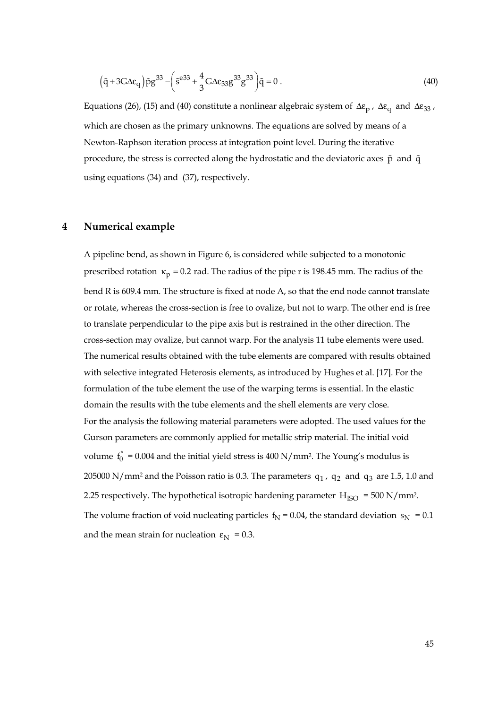$$
(\tilde{q} + 3G\Delta\epsilon_q)\tilde{p}g^{33} - \left(\tilde{s}^{e33} + \frac{4}{3}G\Delta\epsilon_{33}g^{33}g^{33}\right)\tilde{q} = 0.
$$
 (40)

Equations (26), (15) and (40) constitute a nonlinear algebraic system of  $\Delta \varepsilon_p$ ,  $\Delta \varepsilon_q$  and  $\Delta \varepsilon_{33}$ , which are chosen as the primary unknowns. The equations are solved by means of a Newton-Raphson iteration process at integration point level. During the iterative procedure, the stress is corrected along the hydrostatic and the deviatoric axes  $\tilde{p}$  and  $\tilde{q}$ using equations (34) and (37), respectively.

## **4 Numerical example**

A pipeline bend, as shown in Figure 6, is considered while subjected to a monotonic prescribed rotation  $\kappa_p = 0.2$  rad. The radius of the pipe r is 198.45 mm. The radius of the bend R is 609.4 mm. The structure is fixed at node A, so that the end node cannot translate or rotate, whereas the cross-section is free to ovalize, but not to warp. The other end is free to translate perpendicular to the pipe axis but is restrained in the other direction. The cross-section may ovalize, but cannot warp. For the analysis 11 tube elements were used. The numerical results obtained with the tube elements are compared with results obtained with selective integrated Heterosis elements, as introduced by Hughes et al. [17]. For the formulation of the tube element the use of the warping terms is essential. In the elastic domain the results with the tube elements and the shell elements are very close. For the analysis the following material parameters were adopted. The used values for the Gurson parameters are commonly applied for metallic strip material. The initial void volume  $f_0^* = 0.004$  and the initial yield stress is 400 N/mm<sup>2</sup>. The Young's modulus is 205000 N/mm<sup>2</sup> and the Poisson ratio is 0.3. The parameters  $q_1$ ,  $q_2$  and  $q_3$  are 1.5, 1.0 and 2.25 respectively. The hypothetical isotropic hardening parameter  $H_{ISO} = 500 N/mm^2$ . The volume fraction of void nucleating particles  $f_N = 0.04$ , the standard deviation  $s_N = 0.1$ and the mean strain for nucleation  $\varepsilon_{\rm N} = 0.3$ .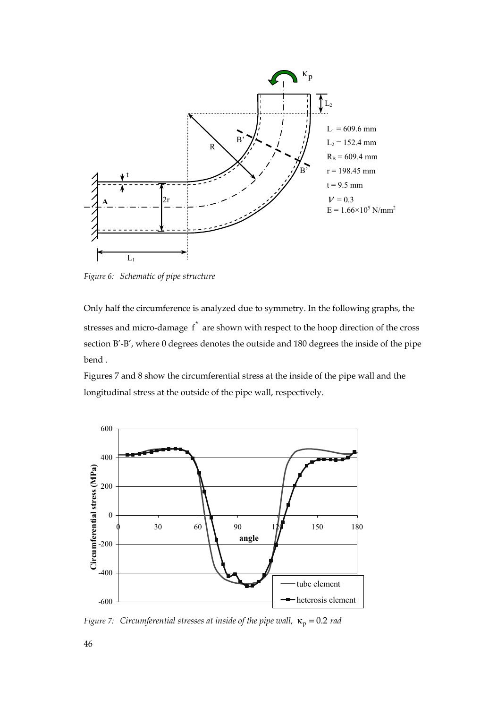

*Figure 6: Schematic of pipe structure* 

Only half the circumference is analyzed due to symmetry. In the following graphs, the stresses and micro-damage  $f^*$  are shown with respect to the hoop direction of the cross section B'-B', where 0 degrees denotes the outside and 180 degrees the inside of the pipe bend .

Figures 7 and 8 show the circumferential stress at the inside of the pipe wall and the longitudinal stress at the outside of the pipe wall, respectively.



*Figure 7: Circumferential stresses at inside of the pipe wall,*  $\kappa_p = 0.2$  *rad*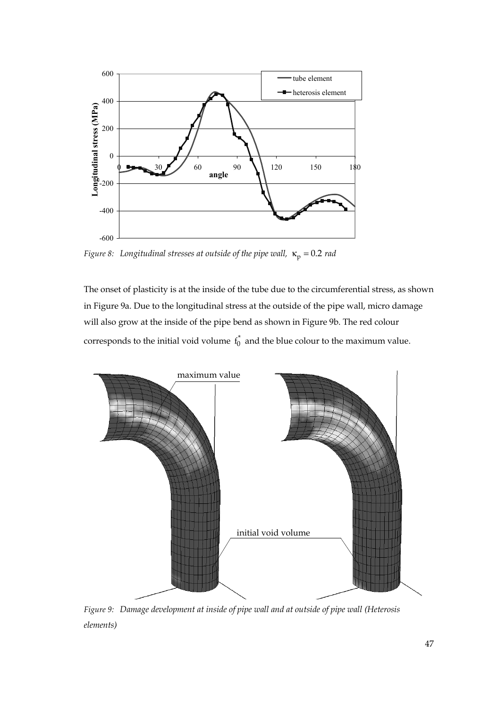

*Figure 8:* Longitudinal stresses at outside of the pipe wall,  $\kappa_p = 0.2$  *rad* 

The onset of plasticity is at the inside of the tube due to the circumferential stress, as shown in Figure 9a. Due to the longitudinal stress at the outside of the pipe wall, micro damage will also grow at the inside of the pipe bend as shown in Figure 9b. The red colour corresponds to the initial void volume  $f_0^*$  and the blue colour to the maximum value.



*Figure 9: Damage development at inside of pipe wall and at outside of pipe wall (Heterosis elements)*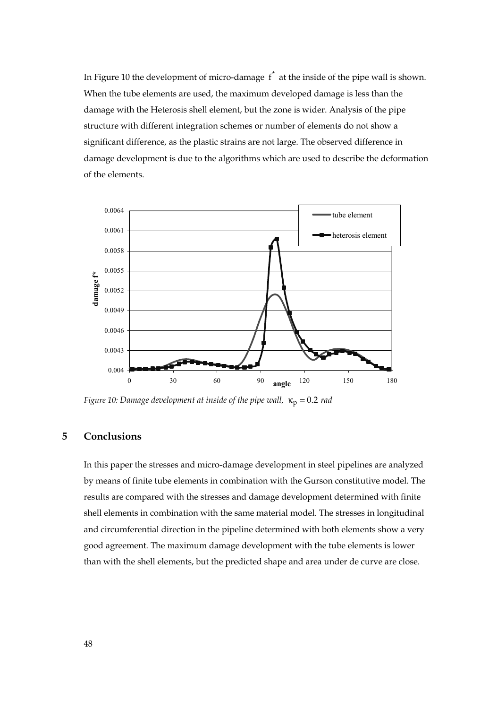In Figure 10 the development of micro-damage  $f^*$  at the inside of the pipe wall is shown. When the tube elements are used, the maximum developed damage is less than the damage with the Heterosis shell element, but the zone is wider. Analysis of the pipe structure with different integration schemes or number of elements do not show a significant difference, as the plastic strains are not large. The observed difference in damage development is due to the algorithms which are used to describe the deformation of the elements.



*Figure 10: Damage development at inside of the pipe wall,*  $\kappa_p = 0.2$  *rad* 

# **5 Conclusions**

In this paper the stresses and micro-damage development in steel pipelines are analyzed by means of finite tube elements in combination with the Gurson constitutive model. The results are compared with the stresses and damage development determined with finite shell elements in combination with the same material model. The stresses in longitudinal and circumferential direction in the pipeline determined with both elements show a very good agreement. The maximum damage development with the tube elements is lower than with the shell elements, but the predicted shape and area under de curve are close.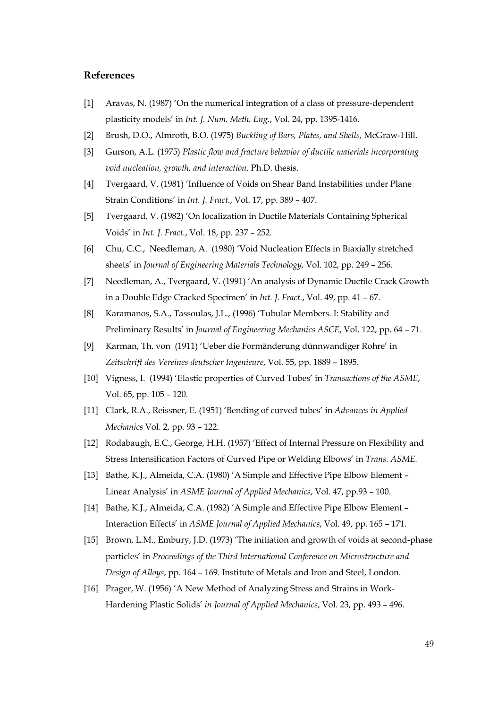# **References**

- [1] Aravas, N. (1987) 'On the numerical integration of a class of pressure-dependent plasticity models' in *Int. J. Num. Meth. Eng*., Vol. 24, pp. 1395-1416.
- [2] Brush, D.O., Almroth, B.O. (1975) *Buckling of Bars, Plates, and Shells,* McGraw-Hill.
- [3] Gurson, A.L. (1975) *Plastic flow and fracture behavior of ductile materials incorporating void nucleation, growth, and interaction.* Ph.D. thesis.
- [4] Tvergaard, V. (1981) 'Influence of Voids on Shear Band Instabilities under Plane Strain Conditions' in *Int. J. Fract.*, Vol. 17, pp. 389 – 407.
- [5] Tvergaard, V. (1982) 'On localization in Ductile Materials Containing Spherical Voids' in *Int. J. Fract.*, Vol. 18, pp. 237 – 252.
- [6] Chu, C.C., Needleman, A. (1980) 'Void Nucleation Effects in Biaxially stretched sheets' in *Journal of Engineering Materials Technology*, Vol. 102, pp. 249 – 256.
- [7] Needleman, A., Tvergaard, V. (1991) 'An analysis of Dynamic Ductile Crack Growth in a Double Edge Cracked Specimen' in *Int. J. Fract.*, Vol. 49, pp. 41 – 67.
- [8] Karamanos, S.A., Tassoulas, J.L., (1996) 'Tubular Members. I: Stability and Preliminary Results' in *Journal of Engineering Mechanics ASCE*, Vol. 122, pp. 64 – 71.
- [9] Karman, Th. von (1911) 'Ueber die Formänderung dünnwandiger Rohre' in *Zeitschrift des Vereines deutscher Ingenieure*, Vol. 55, pp. 1889 – 1895.
- [10] Vigness, I. (1994) 'Elastic properties of Curved Tubes' in *Transactions of the ASME*, Vol. 65, pp. 105 – 120.
- [11] Clark, R.A., Reissner, E. (1951) 'Bending of curved tubes' in *Advances in Applied Mechanics* Vol. 2, pp. 93 – 122.
- [12] Rodabaugh, E.C., George, H.H. (1957) 'Effect of Internal Pressure on Flexibility and Stress Intensification Factors of Curved Pipe or Welding Elbows' in *Trans. ASME.*
- [13] Bathe, K.J., Almeida, C.A. (1980) 'A Simple and Effective Pipe Elbow Element Linear Analysis' in *ASME Journal of Applied Mechanics*, Vol. 47, pp.93 – 100.
- [14] Bathe, K.J., Almeida, C.A. (1982) 'A Simple and Effective Pipe Elbow Element Interaction Effects' in *ASME Journal of Applied Mechanics*, Vol. 49, pp. 165 – 171.
- [15] Brown, L.M., Embury, J.D. (1973) 'The initiation and growth of voids at second-phase particles' in *Proceedings of the Third International Conference on Microstructure and Design of Alloys*, pp. 164 – 169. Institute of Metals and Iron and Steel, London.
- [16] Prager, W. (1956) 'A New Method of Analyzing Stress and Strains in Work-Hardening Plastic Solids' *in Journal of Applied Mechanics*, Vol. 23, pp. 493 – 496.